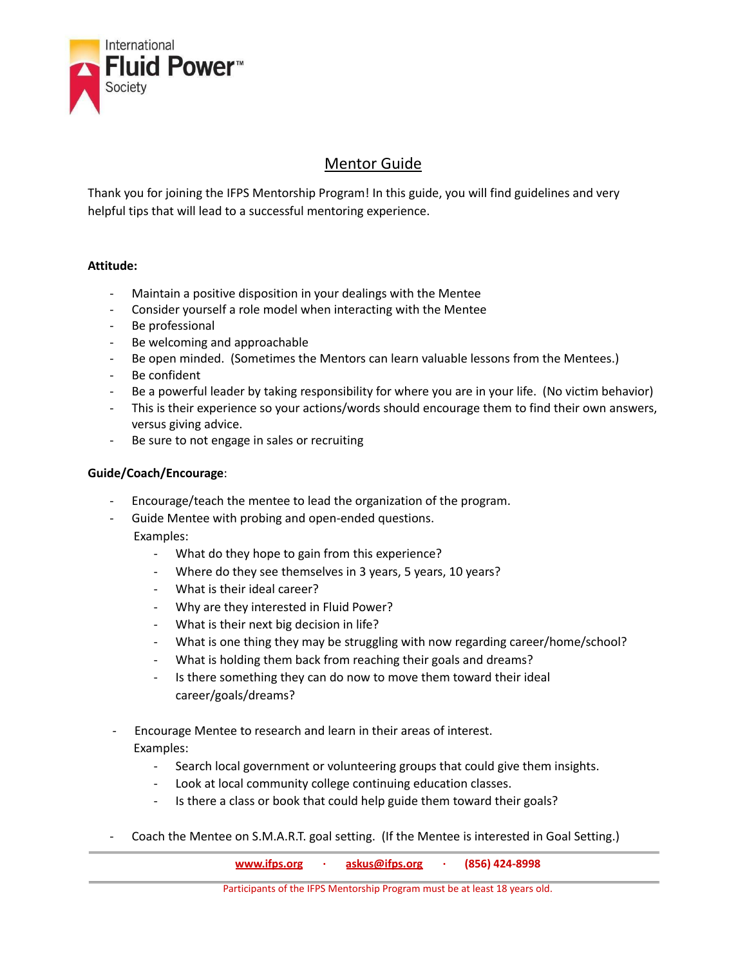

## Mentor Guide

Thank you for joining the IFPS Mentorship Program! In this guide, you will find guidelines and very helpful tips that will lead to a successful mentoring experience.

## **Attitude:**

- Maintain a positive disposition in your dealings with the Mentee
- Consider yourself a role model when interacting with the Mentee
- Be professional
- Be welcoming and approachable
- Be open minded. (Sometimes the Mentors can learn valuable lessons from the Mentees.)
- Be confident
- Be a powerful leader by taking responsibility for where you are in your life. (No victim behavior)
- This is their experience so your actions/words should encourage them to find their own answers, versus giving advice.
- Be sure to not engage in sales or recruiting

## **Guide/Coach/Encourage**:

- Encourage/teach the mentee to lead the organization of the program.
	- Guide Mentee with probing and open-ended questions.
- Examples:
	- What do they hope to gain from this experience?
	- Where do they see themselves in 3 years, 5 years, 10 years?
	- What is their ideal career?
	- Why are they interested in Fluid Power?
	- What is their next big decision in life?
	- What is one thing they may be struggling with now regarding career/home/school?
	- What is holding them back from reaching their goals and dreams?
	- Is there something they can do now to move them toward their ideal career/goals/dreams?
- Encourage Mentee to research and learn in their areas of interest. Examples:
	- Search local government or volunteering groups that could give them insights.
	- Look at local community college continuing education classes.
	- Is there a class or book that could help guide them toward their goals?
- Coach the Mentee on S.M.A.R.T. goal setting. (If the Mentee is interested in Goal Setting.)

|                                                                                                    |  |  | www.ifps.org $\cdot$ askus@ifps.org $\cdot$ (856) 424-8998 |  |  |  |
|----------------------------------------------------------------------------------------------------|--|--|------------------------------------------------------------|--|--|--|
| <b>Deputation in a fight of FDC Administration Discovery control by the light different of the</b> |  |  |                                                            |  |  |  |